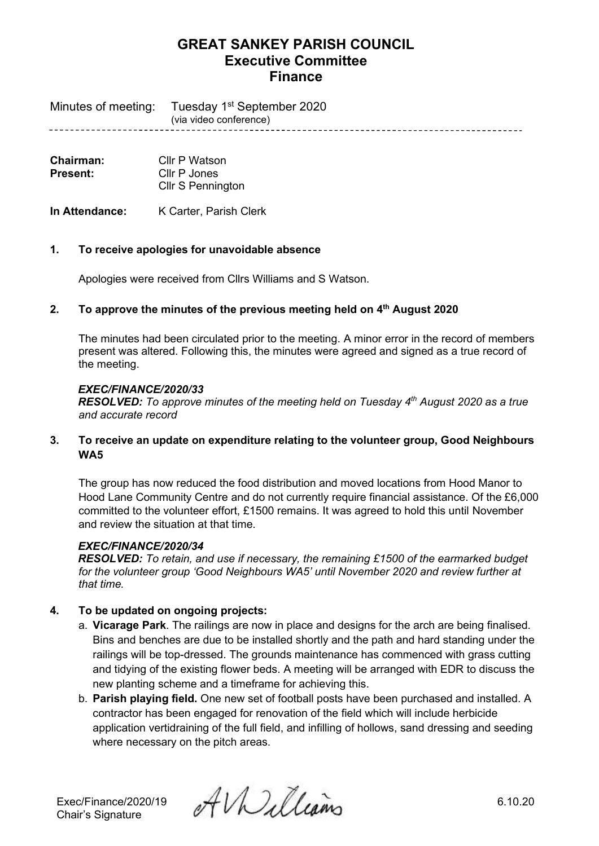Minutes of meeting: Tuesday 1<sup>st</sup> September 2020 (via video conference)

| Chairman:       | Cllr P Watson            |  |
|-----------------|--------------------------|--|
| <b>Present:</b> | Cllr P Jones             |  |
|                 | <b>Cllr S Pennington</b> |  |

**In Attendance:** K Carter, Parish Clerk

### **1. To receive apologies for unavoidable absence**

Apologies were received from Cllrs Williams and S Watson.

#### **2. To approve the minutes of the previous meeting held on 4 th August 2020**

The minutes had been circulated prior to the meeting. A minor error in the record of members present was altered. Following this, the minutes were agreed and signed as a true record of the meeting.

#### *EXEC/FINANCE/2020/33*

*RESOLVED: To approve minutes of the meeting held on Tuesday 4 th August 2020 as a true and accurate record*

### **3. To receive an update on expenditure relating to the volunteer group, Good Neighbours WA5**

The group has now reduced the food distribution and moved locations from Hood Manor to Hood Lane Community Centre and do not currently require financial assistance. Of the £6,000 committed to the volunteer effort, £1500 remains. It was agreed to hold this until November and review the situation at that time.

## *EXEC/FINANCE/2020/34*

*RESOLVED: To retain, and use if necessary, the remaining £1500 of the earmarked budget for the volunteer group 'Good Neighbours WA5' until November 2020 and review further at that time.*

## **4. To be updated on ongoing projects:**

- a. **Vicarage Park**. The railings are now in place and designs for the arch are being finalised. Bins and benches are due to be installed shortly and the path and hard standing under the railings will be top-dressed. The grounds maintenance has commenced with grass cutting and tidying of the existing flower beds. A meeting will be arranged with EDR to discuss the new planting scheme and a timeframe for achieving this.
- b. **Parish playing field.** One new set of football posts have been purchased and installed. A contractor has been engaged for renovation of the field which will include herbicide application vertidraining of the full field, and infilling of hollows, sand dressing and seeding where necessary on the pitch areas.

Exec/Finance/2020/19  $\partial \mathcal{U}$   $\partial \mathcal{U}$   $\partial \mathcal{U}$   $\partial \mathcal{U}$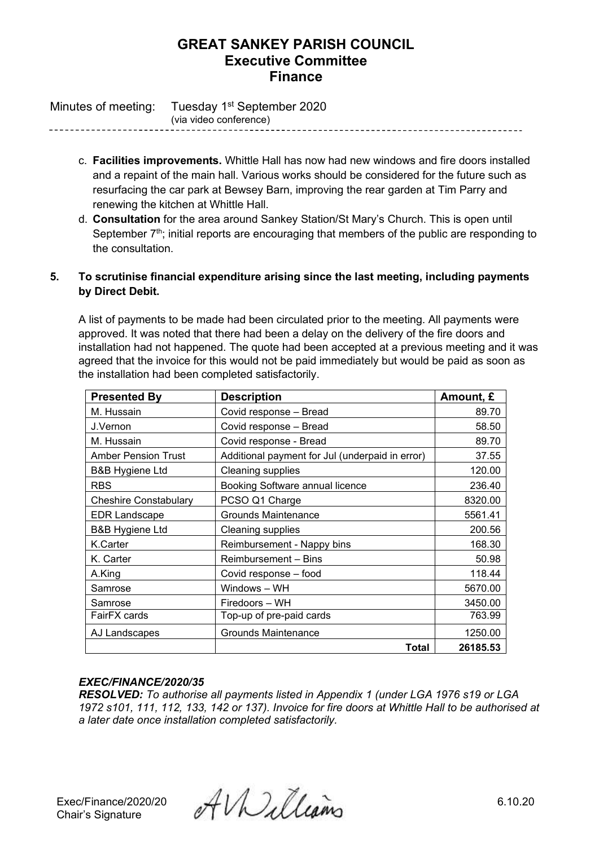Minutes of meeting: Tuesday 1<sup>st</sup> September 2020 (via video conference)

> c. **Facilities improvements.** Whittle Hall has now had new windows and fire doors installed and a repaint of the main hall. Various works should be considered for the future such as resurfacing the car park at Bewsey Barn, improving the rear garden at Tim Parry and renewing the kitchen at Whittle Hall.

------------------------------------

d. **Consultation** for the area around Sankey Station/St Mary's Church. This is open until September  $7<sup>th</sup>$ ; initial reports are encouraging that members of the public are responding to the consultation.

## **5. To scrutinise financial expenditure arising since the last meeting, including payments by Direct Debit.**

A list of payments to be made had been circulated prior to the meeting. All payments were approved. It was noted that there had been a delay on the delivery of the fire doors and installation had not happened. The quote had been accepted at a previous meeting and it was agreed that the invoice for this would not be paid immediately but would be paid as soon as the installation had been completed satisfactorily.

| <b>Presented By</b>        | <b>Description</b>                              | Amount, £ |
|----------------------------|-------------------------------------------------|-----------|
| M. Hussain                 | Covid response - Bread                          | 89.70     |
| J.Vernon                   | Covid response - Bread                          | 58.50     |
| M. Hussain                 | Covid response - Bread                          | 89.70     |
| <b>Amber Pension Trust</b> | Additional payment for Jul (underpaid in error) | 37.55     |
| <b>B&amp;B Hygiene Ltd</b> | <b>Cleaning supplies</b>                        | 120.00    |
| <b>RBS</b>                 | Booking Software annual licence                 | 236.40    |
| Cheshire Constabulary      | PCSO Q1 Charge                                  | 8320.00   |
| EDR Landscape              | Grounds Maintenance                             | 5561.41   |
| <b>B&amp;B Hygiene Ltd</b> | <b>Cleaning supplies</b>                        | 200.56    |
| K.Carter                   | Reimbursement - Nappy bins                      | 168.30    |
| K. Carter                  | Reimbursement - Bins                            | 50.98     |
| A.King                     | Covid response - food                           | 118.44    |
| Samrose                    | Windows - WH                                    | 5670.00   |
| Samrose                    | Firedoors – WH                                  | 3450.00   |
| FairFX cards               | Top-up of pre-paid cards                        | 763.99    |
| AJ Landscapes              | Grounds Maintenance                             | 1250.00   |
|                            | Total                                           | 26185.53  |

## *EXEC/FINANCE/2020/35*

*RESOLVED: To authorise all payments listed in Appendix 1 (under LGA 1976 s19 or LGA 1972 s101, 111, 112, 133, 142 or 137). Invoice for fire doors at Whittle Hall to be authorised at a later date once installation completed satisfactorily.*

Exec/Finance/2020/20  $\mathcal{AUU}$ <br>Chair's Signature 6.10.20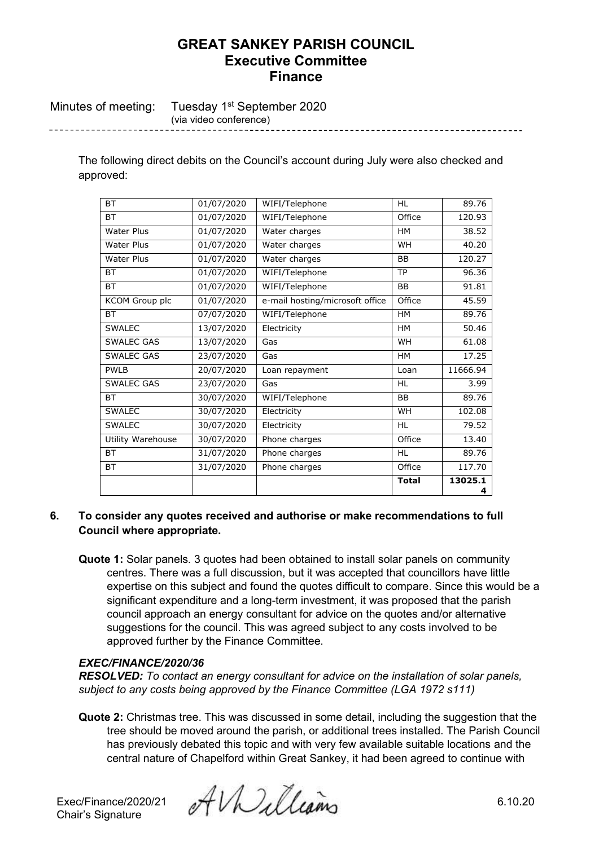Minutes of meeting: Tuesday 1<sup>st</sup> September 2020 (via video conference)

> The following direct debits on the Council's account during July were also checked and approved:

| <b>BT</b>         | 01/07/2020 | WIFI/Telephone                  | <b>HL</b>    | 89.76        |
|-------------------|------------|---------------------------------|--------------|--------------|
| <b>BT</b>         | 01/07/2020 | WIFI/Telephone                  | Office       | 120.93       |
| <b>Water Plus</b> | 01/07/2020 | Water charges                   | <b>HM</b>    | 38.52        |
| <b>Water Plus</b> | 01/07/2020 | Water charges                   | WH           | 40.20        |
| Water Plus        | 01/07/2020 | Water charges                   | <b>BB</b>    | 120.27       |
| <b>BT</b>         | 01/07/2020 | WIFI/Telephone                  | <b>TP</b>    | 96.36        |
| <b>BT</b>         | 01/07/2020 | WIFI/Telephone                  | <b>BB</b>    | 91.81        |
| KCOM Group plc    | 01/07/2020 | e-mail hosting/microsoft office | Office       | 45.59        |
| <b>BT</b>         | 07/07/2020 | WIFI/Telephone                  | <b>HM</b>    | 89.76        |
| <b>SWALEC</b>     | 13/07/2020 | Electricity                     | <b>HM</b>    | 50.46        |
| <b>SWALEC GAS</b> | 13/07/2020 | Gas                             | WH           | 61.08        |
| SWALEC GAS        | 23/07/2020 | Gas                             | HM           | 17.25        |
| <b>PWLB</b>       | 20/07/2020 | Loan repayment                  | Loan         | 11666.94     |
| SWALEC GAS        | 23/07/2020 | Gas                             | <b>HL</b>    | 3.99         |
| <b>BT</b>         | 30/07/2020 | WIFI/Telephone                  | <b>BB</b>    | 89.76        |
| <b>SWALEC</b>     | 30/07/2020 | Electricity                     | WH           | 102.08       |
| <b>SWALEC</b>     | 30/07/2020 | Electricity                     | <b>HL</b>    | 79.52        |
| Utility Warehouse | 30/07/2020 | Phone charges                   | Office       | 13.40        |
| <b>BT</b>         | 31/07/2020 | Phone charges                   | <b>HL</b>    | 89.76        |
| <b>BT</b>         | 31/07/2020 | Phone charges                   | Office       | 117.70       |
|                   |            |                                 | <b>Total</b> | 13025.1<br>4 |

#### **6. To consider any quotes received and authorise or make recommendations to full Council where appropriate.**

**Quote 1:** Solar panels. 3 quotes had been obtained to install solar panels on community centres. There was a full discussion, but it was accepted that councillors have little expertise on this subject and found the quotes difficult to compare. Since this would be a significant expenditure and a long-term investment, it was proposed that the parish council approach an energy consultant for advice on the quotes and/or alternative suggestions for the council. This was agreed subject to any costs involved to be approved further by the Finance Committee.

### *EXEC/FINANCE/2020/36*

*RESOLVED: To contact an energy consultant for advice on the installation of solar panels, subject to any costs being approved by the Finance Committee (LGA 1972 s111)*

**Quote 2:** Christmas tree. This was discussed in some detail, including the suggestion that the tree should be moved around the parish, or additional trees installed. The Parish Council has previously debated this topic and with very few available suitable locations and the central nature of Chapelford within Great Sankey, it had been agreed to continue with

Chair's Signature

Exec/Finance/2020/21  $\partial f$ *V* $\partial f$ leams 6.10.20